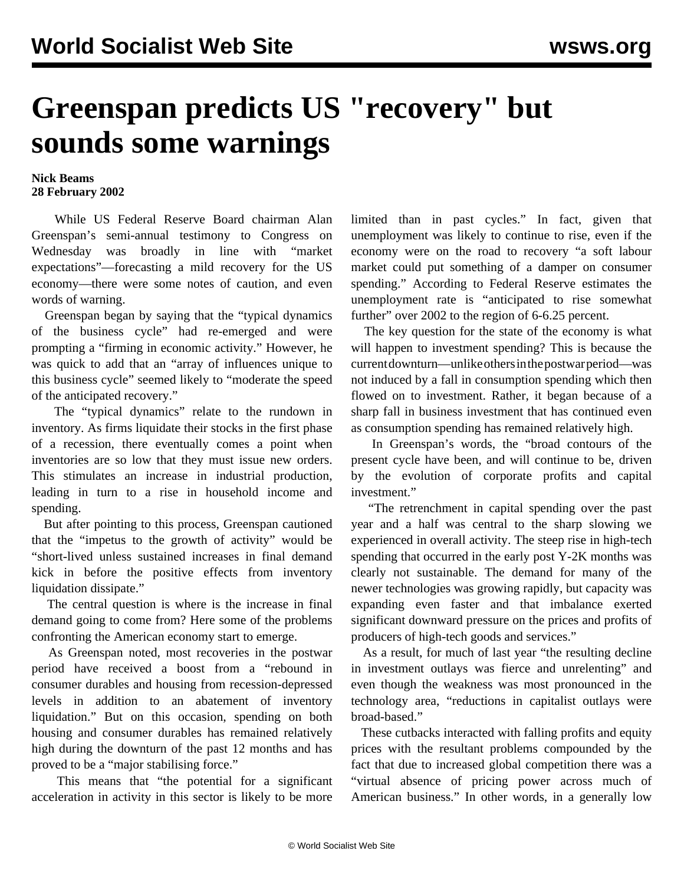## **Greenspan predicts US "recovery" but sounds some warnings**

## **Nick Beams 28 February 2002**

 While US Federal Reserve Board chairman Alan Greenspan's semi-annual testimony to Congress on Wednesday was broadly in line with "market expectations"—forecasting a mild recovery for the US economy—there were some notes of caution, and even words of warning.

 Greenspan began by saying that the "typical dynamics of the business cycle" had re-emerged and were prompting a "firming in economic activity." However, he was quick to add that an "array of influences unique to this business cycle" seemed likely to "moderate the speed of the anticipated recovery."

 The "typical dynamics" relate to the rundown in inventory. As firms liquidate their stocks in the first phase of a recession, there eventually comes a point when inventories are so low that they must issue new orders. This stimulates an increase in industrial production, leading in turn to a rise in household income and spending.

 But after pointing to this process, Greenspan cautioned that the "impetus to the growth of activity" would be "short-lived unless sustained increases in final demand kick in before the positive effects from inventory liquidation dissipate."

 The central question is where is the increase in final demand going to come from? Here some of the problems confronting the American economy start to emerge.

 As Greenspan noted, most recoveries in the postwar period have received a boost from a "rebound in consumer durables and housing from recession-depressed levels in addition to an abatement of inventory liquidation." But on this occasion, spending on both housing and consumer durables has remained relatively high during the downturn of the past 12 months and has proved to be a "major stabilising force."

 This means that "the potential for a significant acceleration in activity in this sector is likely to be more limited than in past cycles." In fact, given that unemployment was likely to continue to rise, even if the economy were on the road to recovery "a soft labour market could put something of a damper on consumer spending." According to Federal Reserve estimates the unemployment rate is "anticipated to rise somewhat further" over 2002 to the region of 6-6.25 percent.

 The key question for the state of the economy is what will happen to investment spending? This is because the current downturn—unlike others in the postwar period—was not induced by a fall in consumption spending which then flowed on to investment. Rather, it began because of a sharp fall in business investment that has continued even as consumption spending has remained relatively high.

 In Greenspan's words, the "broad contours of the present cycle have been, and will continue to be, driven by the evolution of corporate profits and capital investment."

 "The retrenchment in capital spending over the past year and a half was central to the sharp slowing we experienced in overall activity. The steep rise in high-tech spending that occurred in the early post Y-2K months was clearly not sustainable. The demand for many of the newer technologies was growing rapidly, but capacity was expanding even faster and that imbalance exerted significant downward pressure on the prices and profits of producers of high-tech goods and services."

 As a result, for much of last year "the resulting decline in investment outlays was fierce and unrelenting" and even though the weakness was most pronounced in the technology area, "reductions in capitalist outlays were broad-based."

 These cutbacks interacted with falling profits and equity prices with the resultant problems compounded by the fact that due to increased global competition there was a "virtual absence of pricing power across much of American business." In other words, in a generally low